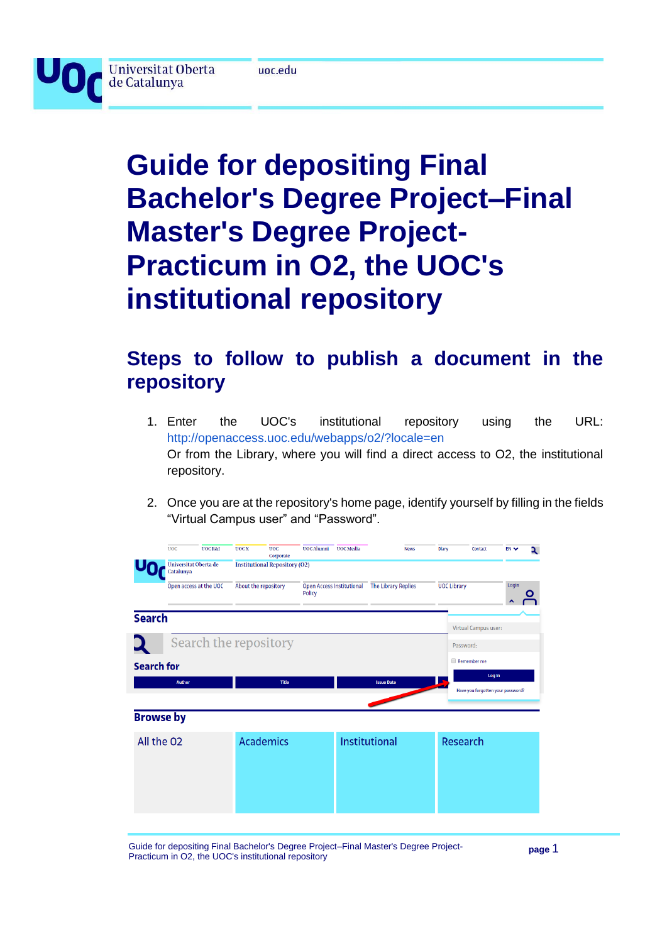

**Universitat Oberta** 

de Catalunya

# **Guide for depositing Final Bachelor's Degree Project–Final Master's Degree Project-Practicum in O2, the UOC's institutional repository**

## **Steps to follow to publish a document in the repository**

- 1. Enter the UOC's institutional repository using the URL: [http://openaccess.uoc.edu/webapps/o2/?locale=en](http://openaccess.uoc.edu/webapps/o2/) Or from the Library, where you will find a direct access to O2, the institutional repository.
- 2. Once you are at the repository's home page, identify yourself by filling in the fields "Virtual Campus user" and "Password".

|                   | <b>UOC</b>                         | <b>UOC R&amp;I</b>     | <b>UOCX</b>          | <b>UOC</b><br>Corporate              | <b>UOC</b> Alumni | <b>UOC</b> Media | <b>News</b>                                   | <b>Diary</b> | Contact                           | EN <sub>V</sub> | ર |
|-------------------|------------------------------------|------------------------|----------------------|--------------------------------------|-------------------|------------------|-----------------------------------------------|--------------|-----------------------------------|-----------------|---|
|                   | Universitat Oberta de<br>Catalunya |                        |                      | <b>Institutional Repository (O2)</b> |                   |                  |                                               |              |                                   |                 |   |
|                   |                                    | Open access at the UOC | About the repository |                                      | Policy            |                  | Open Access Institutional The Library Replies |              | <b>UOC Library</b>                | Login           |   |
| <b>Search</b>     |                                    |                        |                      |                                      |                   |                  |                                               |              | <b>Virtual Campus user:</b>       |                 |   |
|                   |                                    |                        |                      | Search the repository                |                   |                  |                                               |              | Password:                         |                 |   |
| <b>Search for</b> |                                    |                        |                      |                                      |                   |                  |                                               |              | Remember me                       |                 |   |
|                   | <b>Author</b>                      |                        |                      | <b>Title</b>                         |                   |                  | <b>Issue Date</b>                             |              | Have you forgotten your password? | Log In          |   |
| <b>Browse by</b>  |                                    |                        |                      |                                      |                   |                  |                                               |              |                                   |                 |   |
| All the O2        |                                    |                        |                      | <b>Academics</b>                     |                   |                  | Institutional                                 |              | Research                          |                 |   |
|                   |                                    |                        |                      |                                      |                   |                  |                                               |              |                                   |                 |   |
|                   |                                    |                        |                      |                                      |                   |                  |                                               |              |                                   |                 |   |

Guide for depositing Final Bachelor's Degree Project–Final Master's Degree Project-Practicum in O2, the UOC's institutional repository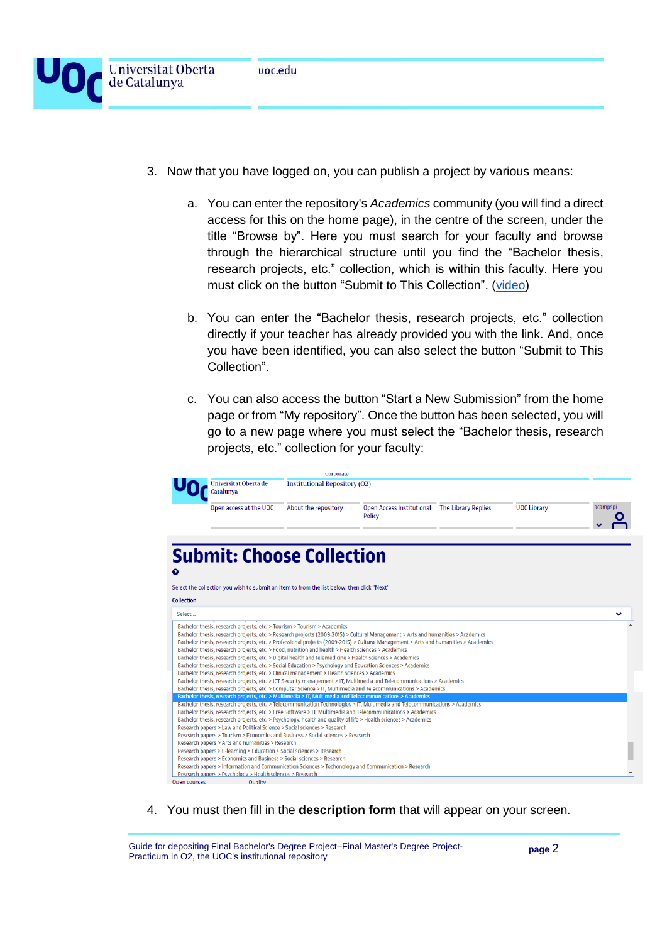- 3. Now that you have logged on, you can publish a project by various means:
	- a. You can enter the repository's *Academics* community (you will find a direct access for this on the home page), in the centre of the screen, under the title "Browse by". Here you must search for your faculty and browse through the hierarchical structure until you find the "Bachelor thesis, research projects, etc." collection, which is within this faculty. Here you must click on the button "Submit to This Collection". [\(video\)](https://www.screencast.com/t/9dp5IB8DsX)
	- b. You can enter the "Bachelor thesis, research projects, etc." collection directly if your teacher has already provided you with the link. And, once you have been identified, you can also select the button "Submit to This Collection".
	- c. You can also access the button "Start a New Submission" from the home page or from "My repository". Once the button has been selected, you will go to a new page where you must select the "Bachelor thesis, research projects, etc." collection for your faculty:

|                                                                                                                                                                                                                                                                          | corporate                            |                                                         |                    |          |
|--------------------------------------------------------------------------------------------------------------------------------------------------------------------------------------------------------------------------------------------------------------------------|--------------------------------------|---------------------------------------------------------|--------------------|----------|
| Universitat Oberta de<br>Catalunva                                                                                                                                                                                                                                       | <b>Institutional Repository (O2)</b> |                                                         |                    |          |
| Open access at the UOC                                                                                                                                                                                                                                                   | About the repository                 | Open Access Institutional The Library Replies<br>Policy | <b>UOC Library</b> | acampspi |
|                                                                                                                                                                                                                                                                          |                                      |                                                         |                    |          |
| <b>Submit: Choose Collection</b>                                                                                                                                                                                                                                         |                                      |                                                         |                    |          |
| ๏                                                                                                                                                                                                                                                                        |                                      |                                                         |                    |          |
| Select the collection you wish to submit an item to from the list below, then click "Next".                                                                                                                                                                              |                                      |                                                         |                    |          |
| <b>Collection</b>                                                                                                                                                                                                                                                        |                                      |                                                         |                    |          |
| Select                                                                                                                                                                                                                                                                   |                                      |                                                         |                    | v        |
|                                                                                                                                                                                                                                                                          |                                      |                                                         |                    |          |
| Bachelor thesis, research projects, etc. > Tourism > Tourism > Academics                                                                                                                                                                                                 |                                      |                                                         |                    |          |
| Bachelor thesis, research projects, etc. > Research projects (2009-2015) > Cultural Management > Arts and humanities > Academics<br>Bachelor thesis, research projects, etc. > Professional projects (2009-2015) > Cultural Management > Arts and humanities > Academics |                                      |                                                         |                    |          |
| Bachelor thesis, research projects, etc. > Food, nutrition and health > Health sciences > Academics                                                                                                                                                                      |                                      |                                                         |                    |          |
| Bachelor thesis, research projects, etc. > Digital health and telemedicine > Health sciences > Academics                                                                                                                                                                 |                                      |                                                         |                    |          |
| Bachelor thesis, research projects, etc. > Social Education > Psychology and Education Sciences > Academics                                                                                                                                                              |                                      |                                                         |                    |          |
| Bachelor thesis, research projects, etc. > Clinical management > Health sciences > Academics                                                                                                                                                                             |                                      |                                                         |                    |          |
| Bachelor thesis, research projects, etc. > ICT Security management > IT, Multimedia and Telecommunications > Academics                                                                                                                                                   |                                      |                                                         |                    |          |
| Bachelor thesis, research projects, etc. > Computer Science > IT, Multimedia and Telecommunications > Academics                                                                                                                                                          |                                      |                                                         |                    |          |
| Bachelor thesis, research projects, etc. > Multimedia > IT, Multimedia and Telecommunications > Academics                                                                                                                                                                |                                      |                                                         |                    |          |
| Bachelor thesis, research projects, etc. > Telecommunication Technologies > IT, Multimedia and Telecommunications > Academics                                                                                                                                            |                                      |                                                         |                    |          |
| Bachelor thesis, research projects, etc. > Free Software > IT, Multimedia and Telecommunications > Academics                                                                                                                                                             |                                      |                                                         |                    |          |
| Bachelor thesis, research projects, etc. > Psychology, health and quality of life > Health sciences > Academics                                                                                                                                                          |                                      |                                                         |                    |          |
| Research papers > Law and Political Science > Social sciences > Research                                                                                                                                                                                                 |                                      |                                                         |                    |          |
| Research papers > Tourism > Economics and Business > Social sciences > Research                                                                                                                                                                                          |                                      |                                                         |                    |          |
| Research papers > Arts and humanities > Research                                                                                                                                                                                                                         |                                      |                                                         |                    |          |
| Research papers > E-learning > Education > Social sciences > Research                                                                                                                                                                                                    |                                      |                                                         |                    |          |
| Research papers > Economics and Business > Social sciences > Research                                                                                                                                                                                                    |                                      |                                                         |                    |          |
| Research papers > Information and Communication Sciences > Techonology and Communication > Research                                                                                                                                                                      |                                      |                                                         |                    |          |
| Research papers > Psychology > Health sciences > Research                                                                                                                                                                                                                |                                      |                                                         |                    |          |
| Open courses<br><b>Ouality</b>                                                                                                                                                                                                                                           |                                      |                                                         |                    |          |

4. You must then fill in the **description form** that will appear on your screen.

Guide for depositing Final Bachelor's Degree Project–Final Master's Degree Project-Practicum in O2, the UOC's institutional repository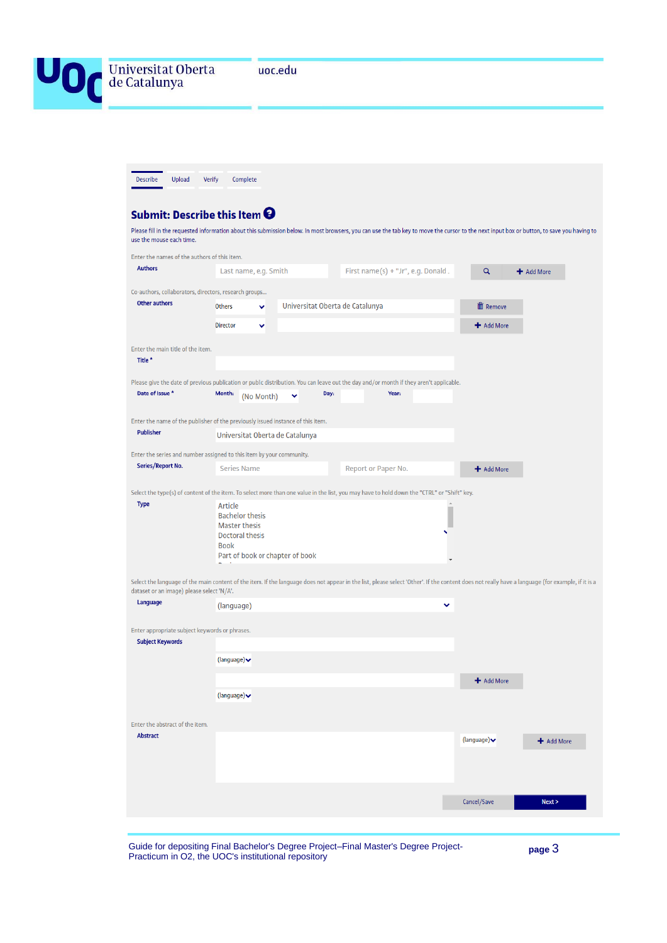| Universitat Oberta<br>de Catalunya                                        | uoc.edu                                                                                                                                                                                          |                                    |                      |                                  |            |
|---------------------------------------------------------------------------|--------------------------------------------------------------------------------------------------------------------------------------------------------------------------------------------------|------------------------------------|----------------------|----------------------------------|------------|
|                                                                           |                                                                                                                                                                                                  |                                    |                      |                                  |            |
| Upload<br><b>Describe</b>                                                 | <b>Verify</b><br>Complete                                                                                                                                                                        |                                    |                      |                                  |            |
| Submit: Describe this Item $\boldsymbol{\Theta}$                          |                                                                                                                                                                                                  |                                    |                      |                                  |            |
| use the mouse each time.                                                  | Please fill in the requested information about this submission below. In most browsers, you can use the tab key to move the cursor to the next input box or button, to save you having to        |                                    |                      |                                  |            |
| Enter the names of the authors of this item.                              |                                                                                                                                                                                                  |                                    |                      |                                  |            |
| <b>Authors</b>                                                            | Last name, e.g. Smith                                                                                                                                                                            | First name(s) + "Jr", e.g. Donald. |                      | Q                                | + Add More |
| Co-authors, collaborators, directors, research groups                     |                                                                                                                                                                                                  |                                    |                      |                                  |            |
| Other authors                                                             | Others<br>v                                                                                                                                                                                      | Universitat Oberta de Catalunya    |                      | <b>血</b> Remove                  |            |
|                                                                           | <b>Director</b><br>v                                                                                                                                                                             |                                    |                      | + Add More                       |            |
| Enter the main title of the item.<br>Title*                               |                                                                                                                                                                                                  |                                    |                      |                                  |            |
|                                                                           |                                                                                                                                                                                                  |                                    |                      |                                  |            |
| Date of Issue *                                                           | Please give the date of previous publication or public distribution. You can leave out the day and/or month if they aren't applicable.<br>Month:<br>(No Month)<br>v                              | Day:<br>Year:                      |                      |                                  |            |
|                                                                           | Enter the name of the publisher of the previously issued instance of this item.                                                                                                                  |                                    |                      |                                  |            |
| Publisher                                                                 | Universitat Oberta de Catalunya                                                                                                                                                                  |                                    |                      |                                  |            |
| Series/Report No.                                                         | Enter the series and number assigned to this item by your community.                                                                                                                             |                                    |                      |                                  |            |
|                                                                           | <b>Series Name</b>                                                                                                                                                                               | Report or Paper No.                |                      | + Add More                       |            |
| <b>Type</b>                                                               | Select the type(s) of content of the item. To select more than one value in the list, you may have to hold down the "CTRL" or "Shift" key.<br>Article                                            |                                    |                      |                                  |            |
|                                                                           | <b>Bachelor thesis</b><br><b>Master thesis</b>                                                                                                                                                   |                                    |                      |                                  |            |
|                                                                           | <b>Doctoral thesis</b>                                                                                                                                                                           |                                    |                      |                                  |            |
|                                                                           | Book<br>Part of book or chapter of book                                                                                                                                                          |                                    | $\blacktriangledown$ |                                  |            |
|                                                                           | Select the language of the main content of the item. If the language does not appear in the list, please select 'Other'. If the content does not really have a language (for example, if it is a |                                    |                      |                                  |            |
| dataset or an image) please select 'N/A'.<br>Language                     | (language)                                                                                                                                                                                       |                                    | $\checkmark$         |                                  |            |
|                                                                           |                                                                                                                                                                                                  |                                    |                      |                                  |            |
| Enter appropriate subject keywords or phrases.<br><b>Subject Keywords</b> |                                                                                                                                                                                                  |                                    |                      |                                  |            |
|                                                                           | (language) $\blacktriangleright$                                                                                                                                                                 |                                    |                      |                                  |            |
|                                                                           |                                                                                                                                                                                                  |                                    |                      | + Add More                       |            |
|                                                                           | (language) $\blacktriangleright$                                                                                                                                                                 |                                    |                      |                                  |            |
|                                                                           |                                                                                                                                                                                                  |                                    |                      |                                  |            |
| Enter the abstract of the item.<br><b>Abstract</b>                        |                                                                                                                                                                                                  |                                    |                      | (language) $\blacktriangleright$ | + Add More |
|                                                                           |                                                                                                                                                                                                  |                                    |                      |                                  |            |
|                                                                           |                                                                                                                                                                                                  |                                    |                      |                                  |            |
|                                                                           |                                                                                                                                                                                                  |                                    |                      |                                  |            |
|                                                                           |                                                                                                                                                                                                  |                                    |                      | Cancel/Save                      | Next >     |

Guide for depositing Final Bachelor's Degree Project–Final Master's Degree Project-Practicum in O2, the UOC's institutional repository

**page** 3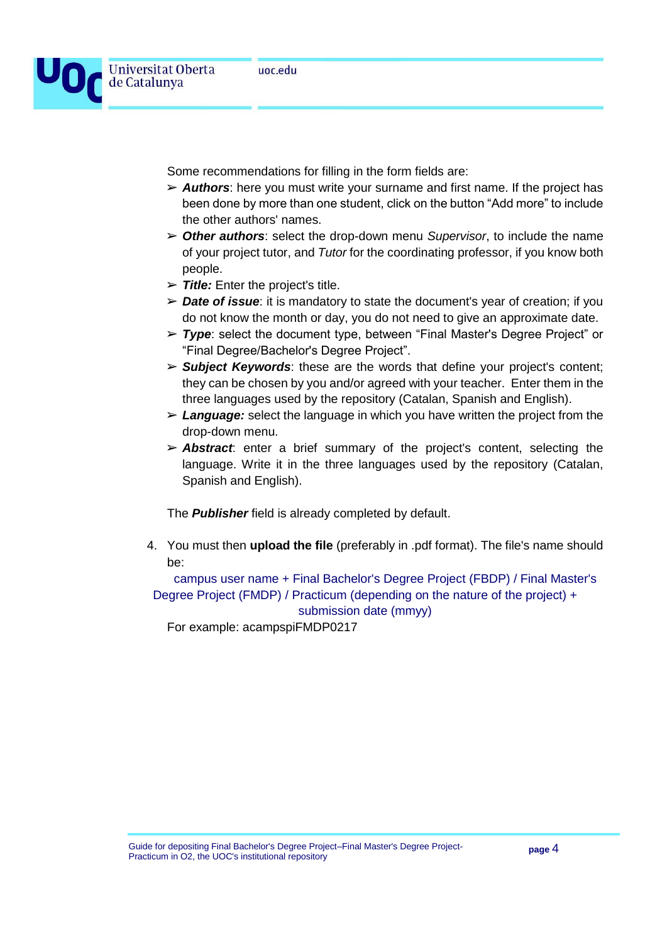

de Catalunya

Some recommendations for filling in the form fields are:

- ➢ *Authors*: here you must write your surname and first name. If the project has been done by more than one student, click on the button "Add more" to include the other authors' names.
- ➢ *Other authors*: select the drop-down menu *Supervisor*, to include the name of your project tutor, and *Tutor* for the coordinating professor, if you know both people.
- ➢ *Title:* Enter the project's title.
- ➢ *Date of issue*: it is mandatory to state the document's year of creation; if you do not know the month or day, you do not need to give an approximate date.
- ➢ *Type*: select the document type, between "Final Master's Degree Project" or "Final Degree/Bachelor's Degree Project".
- ➢ *Subject Keywords*: these are the words that define your project's content; they can be chosen by you and/or agreed with your teacher. Enter them in the three languages used by the repository (Catalan, Spanish and English).
- ➢ *Language:* select the language in which you have written the project from the drop-down menu.
- ➢ *Abstract*: enter a brief summary of the project's content, selecting the language. Write it in the three languages used by the repository (Catalan, Spanish and English).

The *Publisher* field is already completed by default.

4. You must then **upload the file** (preferably in .pdf format). The file's name should be:

campus user name + Final Bachelor's Degree Project (FBDP) / Final Master's Degree Project (FMDP) / Practicum (depending on the nature of the project) + submission date (mmyy)

For example: acampspiFMDP0217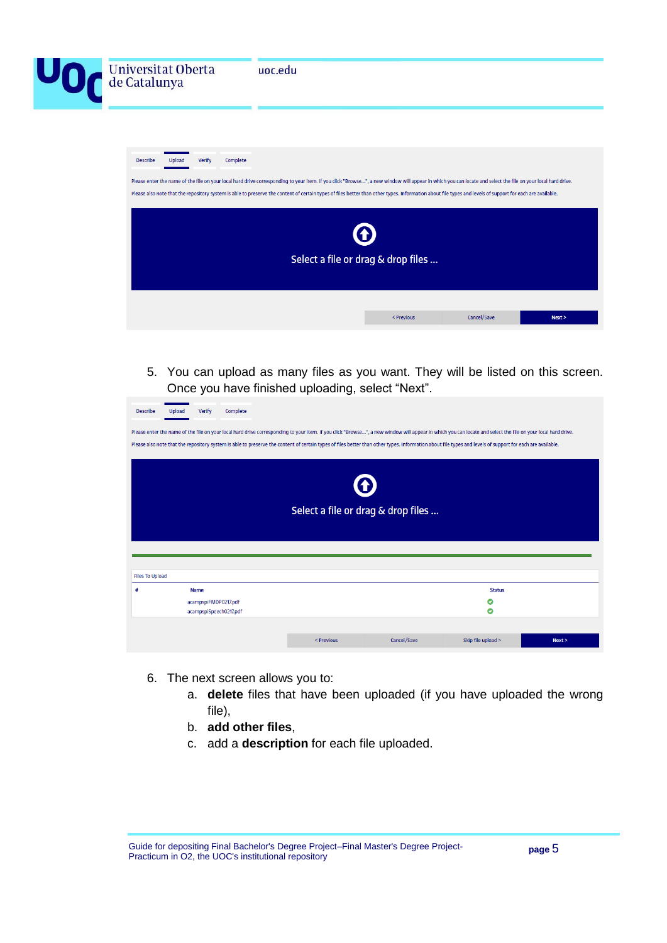|                 | Universitat Oberta<br>de Catalunya |          | uoc.edu                                                                                                                                                                                                                                                                                                                                                                                                                    |            |             |        |
|-----------------|------------------------------------|----------|----------------------------------------------------------------------------------------------------------------------------------------------------------------------------------------------------------------------------------------------------------------------------------------------------------------------------------------------------------------------------------------------------------------------------|------------|-------------|--------|
| <b>Describe</b> | Verify<br>Upload                   | Complete | Please enter the name of the file on your local hard drive corresponding to your item. If you click "Browse ", a new window will appear in which you can locate and select the file on your local hard drive.<br>Please also note that the repository system is able to preserve the content of certain types of files better than other types. Information about file types and levels of support for each are available. |            |             |        |
|                 |                                    |          | Select a file or drag & drop files                                                                                                                                                                                                                                                                                                                                                                                         |            |             |        |
|                 |                                    |          |                                                                                                                                                                                                                                                                                                                                                                                                                            | < Previous | Cancel/Save | Next > |

5. You can upload as many files as you want. They will be listed on this screen. Once you have finished uploading, select "Next".

| <b>Describe</b>        | Verify<br>Upload                                              | Complete |                                                                                                                                                                                                                                                                                                                                                                                                                           |             |                         |        |
|------------------------|---------------------------------------------------------------|----------|---------------------------------------------------------------------------------------------------------------------------------------------------------------------------------------------------------------------------------------------------------------------------------------------------------------------------------------------------------------------------------------------------------------------------|-------------|-------------------------|--------|
|                        |                                                               |          | Please enter the name of the file on your local hard drive corresponding to your item. If you click "Browse", a new window will appear in which you can locate and select the file on your local hard drive.<br>Please also note that the repository system is able to preserve the content of certain types of files better than other types. Information about file types and levels of support for each are available. |             |                         |        |
|                        |                                                               |          | O                                                                                                                                                                                                                                                                                                                                                                                                                         |             |                         |        |
|                        |                                                               |          | Select a file or drag & drop files                                                                                                                                                                                                                                                                                                                                                                                        |             |                         |        |
|                        |                                                               |          |                                                                                                                                                                                                                                                                                                                                                                                                                           |             |                         |        |
| <b>Files To Upload</b> |                                                               |          |                                                                                                                                                                                                                                                                                                                                                                                                                           |             |                         |        |
| ä                      | <b>Name</b><br>acampspiFMDP0217.pdf<br>acampspiSpeech0217.pdf |          |                                                                                                                                                                                                                                                                                                                                                                                                                           |             | <b>Status</b><br>O<br>o |        |
|                        |                                                               |          |                                                                                                                                                                                                                                                                                                                                                                                                                           |             |                         |        |
|                        |                                                               |          | < Previous                                                                                                                                                                                                                                                                                                                                                                                                                | Cancel/Save | Skip file upload >      | Next > |

- 6. The next screen allows you to:
	- a. **delete** files that have been uploaded (if you have uploaded the wrong file),
	- b. **add other files**,
	- c. add a **description** for each file uploaded.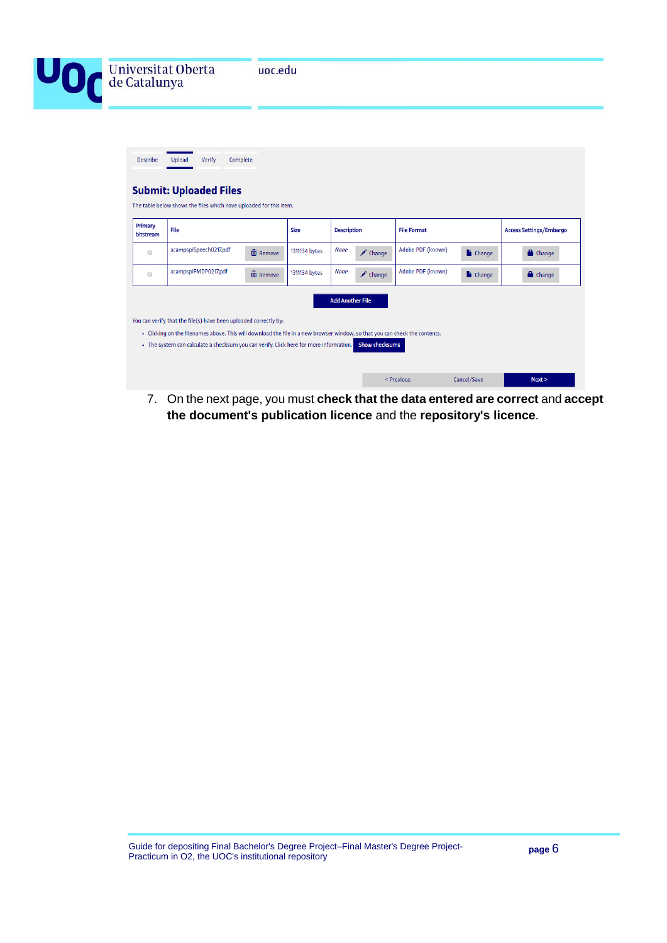

| Primary<br>bitstream | File                                                                                                                                                                                                                                                                                      |                 | <b>Size</b>   | <b>Description</b>      |                       | <b>File Format</b> |                       | <b>Access Settings/Embargo</b> |
|----------------------|-------------------------------------------------------------------------------------------------------------------------------------------------------------------------------------------------------------------------------------------------------------------------------------------|-----------------|---------------|-------------------------|-----------------------|--------------------|-----------------------|--------------------------------|
| $\bigcirc$           | acampspiSpeech0217.pdf                                                                                                                                                                                                                                                                    | <b>而</b> Remove | 1311134 bytes | <b>None</b>             | Change                | Adobe PDF (known)  | <b>Change</b>         | <b>Change</b>                  |
| $\circ$              | acampspiFMDP0217.pdf                                                                                                                                                                                                                                                                      | m Remove        | 1311134 bytes | <b>None</b>             | $\triangle$ Change    | Adobe PDF (known)  | $\blacksquare$ Change | <b>Change</b>                  |
|                      | You can verify that the file(s) have been uploaded correctly by:<br>- Clicking on the filenames above. This will download the file in a new browser window, so that you can check the contents.<br>• The system can calculate a checksum you can verify. Click here for more information. |                 |               | <b>Add Another File</b> | <b>Show checksums</b> |                    |                       |                                |

7. On the next page, you must **check that the data entered are correct** and **accept the document's publication licence** and the **repository's licence**.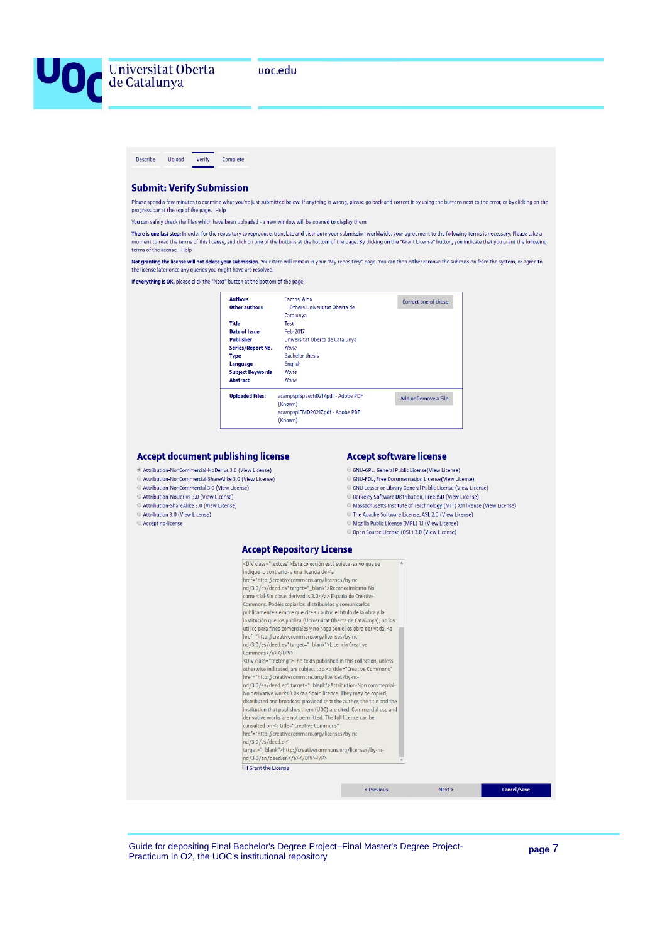



#### **Submit: Verify Submission**

Please spend a few minutes to examine what you've just submitted below. If anything is wrong, please go back and correct it by using the buttons next to the error, or by clicking on the progress bar at the top of the page. Help

You can safely check the files which have been uploaded - a new window will be opened to display them.

There is one last step: In order for the repository to reproduce, translate and distribute your submission worldwide, your agreement to the following terms is necessary. Please take a moment to read the terms of this license, and click on one of the buttons at the bottom of the page. By clicking on the "Grant License" button, you indicate that you grant the following terms of the license. Help

Not granting the license will not delete your submission. Your item will remain in your "My repository" page. You can then either remove the submission from the system, or agree to the license later once any queries you might have are resolved.

If everything is OK, please click the "Next" button at the bottom of the page.

| <b>Authors</b>          | Camps, Aida                        | Correct one of these |
|-------------------------|------------------------------------|----------------------|
| Other authors           | Others: Universitat Oberta de      |                      |
|                         | Catalunya                          |                      |
| <b>Title</b>            | <b>Test</b>                        |                      |
| Date of Issue           | Feb-2017                           |                      |
| <b>Publisher</b>        | Universitat Oberta de Catalunya    |                      |
| Series/Report No.       | <b>None</b>                        |                      |
| <b>Type</b>             | <b>Bachelor thesis</b>             |                      |
| Language                | <b>English</b>                     |                      |
| <b>Subject Keywords</b> | <b>None</b>                        |                      |
| <b>Abstract</b>         | <b>None</b>                        |                      |
| <b>Uploaded Files:</b>  | acampspiSpeech0217.pdf - Adobe PDF | Add or Remove a File |
|                         | (Known)                            |                      |
|                         | acampspiFMDP0217.pdf - Adobe PDF   |                      |
|                         | (Known)                            |                      |

#### **Accept document publishing license**

- © Attribution-NonCommercial-NoDerivs 3.0 (View License)
- Attribution-NonCommercial-ShareAlike 3.0 (View License)
- O Attribution-NonCommercial 3.0 (View License)
- Attribution-NoDerivs 3.0 (View License) Attribution-ShareAlike 3.0 (View License)
- Attribution 3.0 (View License)
- Accept no-license

#### **Accept software license**

- C GNU-GPL, General Public License (View License)
- GNU-FDL, Free Documentation License (View License)
- GNU Lesser or Library General Public License (View License)
- O Berkeley Software Distribution, FreeBSD (View License)
- $\odot$  Massachusetts Institute of Tecchnology (MIT) X11 license (View License)  $\odot$  The Apache Software License, ASL 2.0 (View License)
- O Mozilla Public License (MPL) 1.1 (View License)
- O Open Source License (OSL) 3.0 (View License)

#### **Arrent Pennsitory License**

| <div class="textcas">Esta colección está sujeta -salvo que se</div>                                 |  |  |
|-----------------------------------------------------------------------------------------------------|--|--|
| indique lo contrario- a una licencia de <a< td=""><td></td><td></td></a<>                           |  |  |
| href="http://creativecommons.org/licenses/by-nc-                                                    |  |  |
| nd/3.0/es/deed.es" target=" blank">Reconocimiento-No                                                |  |  |
| comercial-Sin obras derivadas 3.0 España de Creative                                                |  |  |
| Commons. Podéis copiarlos, distribuirlos y comunicarlos                                             |  |  |
| públicamente siempre que cite su autor, el título de la obra y la                                   |  |  |
| institución que los publica (Universitat Oberta de Catalunya); no los                               |  |  |
| utilice para fines comerciales y no haga con ellos obra derivada. <a< td=""><td></td><td></td></a<> |  |  |
| href="http://creativecommons.org/licenses/by-nc-                                                    |  |  |
| nd/3.0/es/deed.es" target=" blank">Licencia Creative                                                |  |  |
| Commons                                                                                             |  |  |
| <div class="texteng">The texts published in this collection, unless</div>                           |  |  |
| otherwise indicated, are subject to a <a <="" td="" title="Creative Commons"><td></td><td></td></a> |  |  |
| href="http://creativecommons.org/licenses/by-nc-                                                    |  |  |
| nd/3.0/es/deed.en" target=" blank">Attribution-Non commercial-                                      |  |  |
| No derivative works 3.0 Spain licence. They may be copied,                                          |  |  |
| distributed and broadcast provided that the author, the title and the                               |  |  |
| institution that publishes them (UOC) are cited. Commercial use and                                 |  |  |
| derivative works are not permitted. The full licence can be                                         |  |  |
| consulted on <a <="" td="" title="Creative Commons"><td></td><td></td></a>                          |  |  |
| href="http://creativecommons.org/licenses/by-nc-                                                    |  |  |
| nd/3.0/es/deed.en"                                                                                  |  |  |
| target=" blank">http://creativecommons.org/licenses/by-nc-                                          |  |  |
| nd/3.0/en/deed.en                                                                                   |  |  |
| <b>Grant the License</b>                                                                            |  |  |
|                                                                                                     |  |  |
|                                                                                                     |  |  |

Guide for depositing Final Bachelor's Degree Project–Final Master's Degree Project-Practicum in O2, the UOC's institutional repository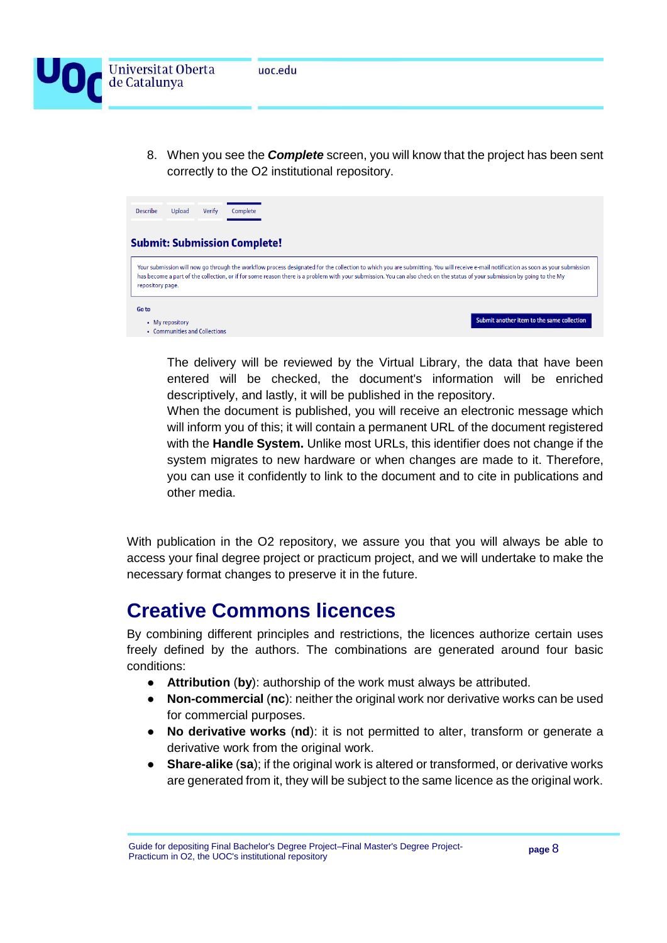

8. When you see the *Complete* screen, you will know that the project has been sent correctly to the O2 institutional repository.



The delivery will be reviewed by the Virtual Library, the data that have been entered will be checked, the document's information will be enriched descriptively, and lastly, it will be published in the repository.

When the document is published, you will receive an electronic message which will inform you of this; it will contain a permanent URL of the document registered with the **Handle System.** Unlike most URLs, this identifier does not change if the system migrates to new hardware or when changes are made to it. Therefore, you can use it confidently to link to the document and to cite in publications and other media.

With publication in the O2 repository, we assure you that you will always be able to access your final degree project or practicum project, and we will undertake to make the necessary format changes to preserve it in the future.

### **Creative Commons licences**

By combining different principles and restrictions, the licences authorize certain uses freely defined by the authors. The combinations are generated around four basic conditions:

- **Attribution** (**by**): authorship of the work must always be attributed.
- **Non-commercial** (**nc**): neither the original work nor derivative works can be used for commercial purposes.
- **No derivative works** (**nd**): it is not permitted to alter, transform or generate a derivative work from the original work.
- **Share-alike** (**sa**); if the original work is altered or transformed, or derivative works are generated from it, they will be subject to the same licence as the original work.

Guide for depositing Final Bachelor's Degree Project–Final Master's Degree Project-Practicum in O2, the UOC's institutional repository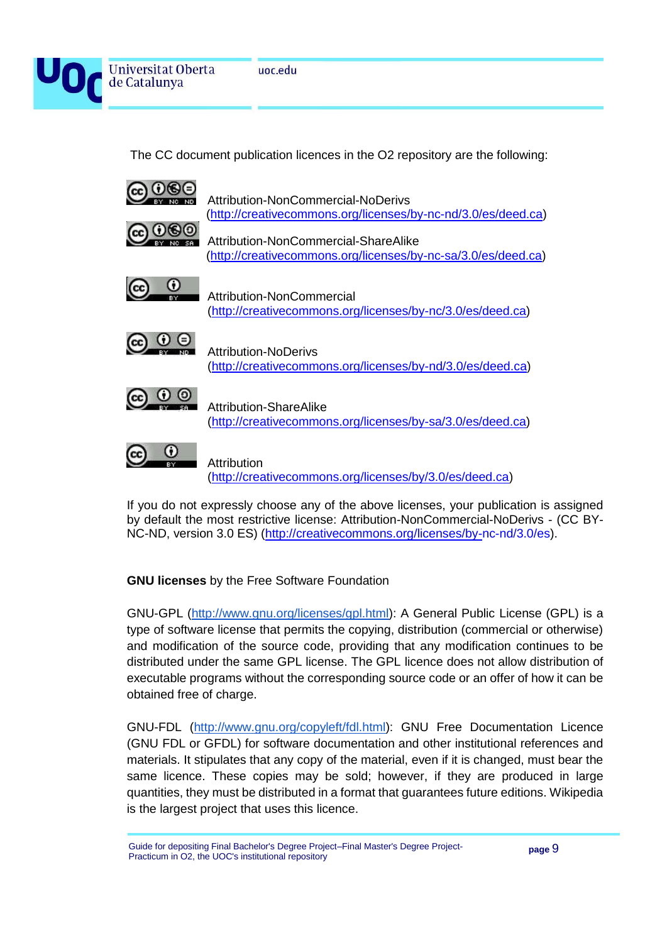

The CC document publication licences in the O2 repository are the following:



If you do not expressly choose any of the above licenses, your publication is assigned by default the most restrictive license: Attribution-NonCommercial-NoDerivs - (CC BY-NC-ND, version 3.0 ES) [\(http://creativecommons.org/licenses/by-nc-nd/3.0/es\)](http://creativecommons.org/licenses/by-nc-nd/3.0/es/deed.ca).

### **GNU licenses** by the Free Software Foundation

GNU-GPL [\(http://www.gnu.org/licenses/gpl.html\)](http://www.gnu.org/licenses/gpl.html): A General Public License (GPL) is a type of software license that permits the copying, distribution (commercial or otherwise) and modification of the source code, providing that any modification continues to be distributed under the same GPL license. The GPL licence does not allow distribution of executable programs without the corresponding source code or an offer of how it can be obtained free of charge.

GNU-FDL [\(http://www.gnu.org/copyleft/fdl.html\)](http://www.gnu.org/copyleft/fdl.html): GNU Free Documentation Licence (GNU FDL or GFDL) for software documentation and other institutional references and materials. It stipulates that any copy of the material, even if it is changed, must bear the same licence. These copies may be sold; however, if they are produced in large quantities, they must be distributed in a format that guarantees future editions. Wikipedia is the largest project that uses this licence.